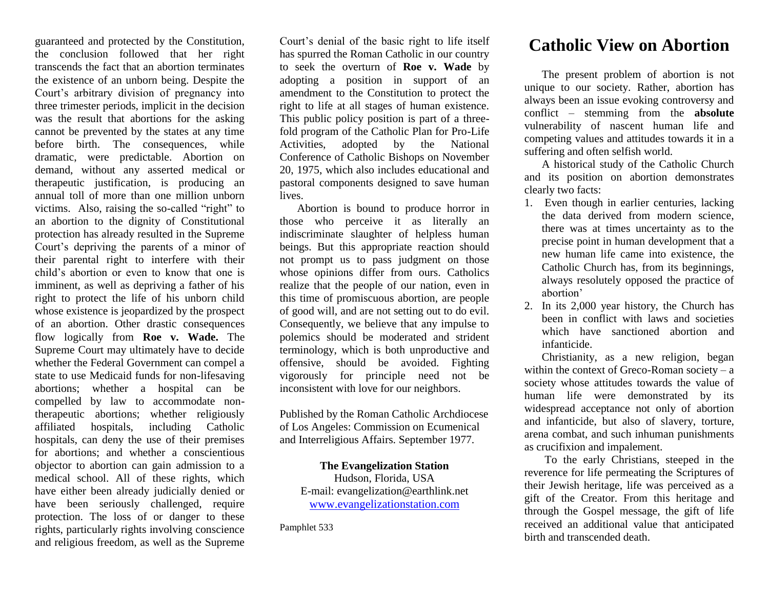guaranteed and protected by the Constitution, the conclusion followed that her right transcends the fact that an abortion terminates the existence of an unborn being. Despite the Court's arbitrary division of pregnancy into three trimester periods, implicit in the decision was the result that abortions for the asking cannot be prevented by the states at any time before birth. The consequences, while dramatic, were predictable. Abortion on demand, without any asserted medical or therapeutic justification, is producing an annual toll of more than one million unborn victims. Also, raising the so-called "right" to an abortion to the dignity of Constitutional protection has already resulted in the Supreme Court's depriving the parents of a minor of their parental right to interfere with their child's abortion or even to know that one is imminent, as well as depriving a father of his right to protect the life of his unborn child whose existence is jeopardized by the prospect of an abortion. Other drastic consequences flow logically from **Roe v. Wade.** The Supreme Court may ultimately have to decide whether the Federal Government can compel a state to use Medicaid funds for non-lifesaving abortions; whether a hospital can be compelled by law to accommodate nontherapeutic abortions; whether religiously affiliated hospitals, including Catholic hospitals, can deny the use of their premises for abortions; and whether a conscientious objector to abortion can gain admission to a medical school. All of these rights, which have either been already judicially denied or have been seriously challenged, require protection. The loss of or danger to these rights, particularly rights involving conscience and religious freedom, as well as the Supreme

Court's denial of the basic right to life itself has spurred the Roman Catholic in our country to seek the overturn of **Roe v. Wade** by adopting a position in support of an amendment to the Constitution to protect the right to life at all stages of human existence. This public policy position is part of a threefold program of the Catholic Plan for Pro-Life Activities, adopted by the National Conference of Catholic Bishops on November 20, 1975, which also includes educational and pastoral components designed to save human lives.

Abortion is bound to produce horror in those who perceive it as literally an indiscriminate slaughter of helpless human beings. But this appropriate reaction should not prompt us to pass judgment on those whose opinions differ from ours. Catholics realize that the people of our nation, even in this time of promiscuous abortion, are people of good will, and are not setting out to do evil. Consequently, we believe that any impulse to polemics should be moderated and strident terminology, which is both unproductive and offensive, should be avoided. Fighting vigorously for principle need not be inconsistent with love for our neighbors.

Published by the Roman Catholic Archdiocese of Los Angeles: Commission on Ecumenical and Interreligious Affairs. September 1977.

## **The Evangelization Station**

Hudson, Florida, USA E-mail: evangelization@earthlink.net [www.evangelizationstation.com](http://www.pjpiisoe.org/)

Pamphlet 533

## **Catholic View on Abortion**

The present problem of abortion is not unique to our society. Rather, abortion has always been an issue evoking controversy and conflict – stemming from the **absolute**  vulnerability of nascent human life and competing values and attitudes towards it in a suffering and often selfish world.

A historical study of the Catholic Church and its position on abortion demonstrates clearly two facts:

- 1. Even though in earlier centuries, lacking the data derived from modern science, there was at times uncertainty as to the precise point in human development that a new human life came into existence, the Catholic Church has, from its beginnings, always resolutely opposed the practice of abortion'
- 2. In its 2,000 year history, the Church has been in conflict with laws and societies which have sanctioned abortion and infanticide.

Christianity, as a new religion, began within the context of Greco-Roman society –  $a$ society whose attitudes towards the value of human life were demonstrated by its widespread acceptance not only of abortion and infanticide, but also of slavery, torture, arena combat, and such inhuman punishments as crucifixion and impalement.

To the early Christians, steeped in the reverence for life permeating the Scriptures of their Jewish heritage, life was perceived as a gift of the Creator. From this heritage and through the Gospel message, the gift of life received an additional value that anticipated birth and transcended death.